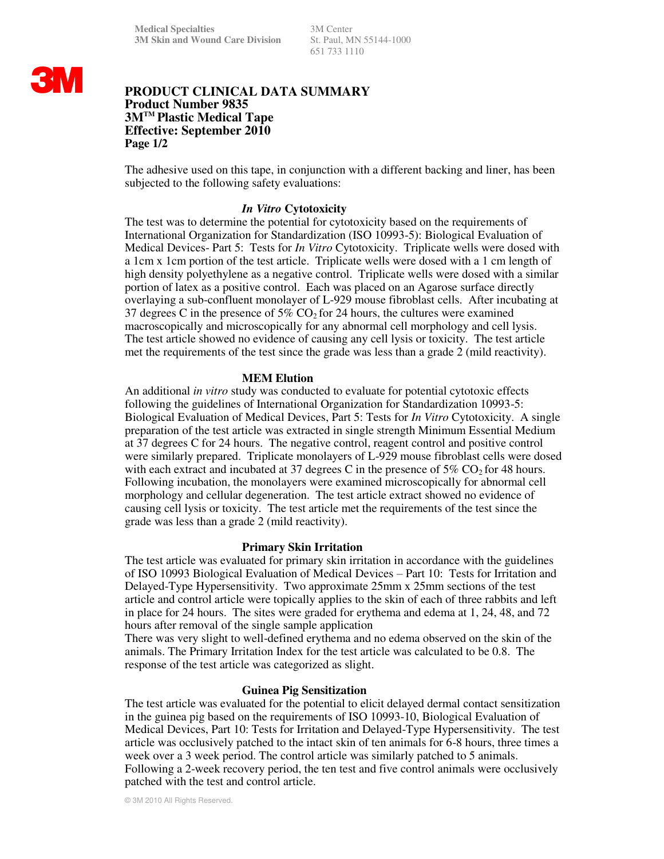651 733 1110

# **3M**

# **PRODUCT CLINICAL DATA SUMMARY Product Number 9835 3MTM Plastic Medical Tape Effective: September 2010 Page 1/2**

The adhesive used on this tape, in conjunction with a different backing and liner, has been subjected to the following safety evaluations:

# *In Vitro* **Cytotoxicity**

The test was to determine the potential for cytotoxicity based on the requirements of International Organization for Standardization (ISO 10993-5): Biological Evaluation of Medical Devices- Part 5: Tests for *In Vitro* Cytotoxicity. Triplicate wells were dosed with a 1cm x 1cm portion of the test article. Triplicate wells were dosed with a 1 cm length of high density polyethylene as a negative control. Triplicate wells were dosed with a similar portion of latex as a positive control. Each was placed on an Agarose surface directly overlaying a sub-confluent monolayer of L-929 mouse fibroblast cells. After incubating at 37 degrees C in the presence of 5%  $CO<sub>2</sub>$  for 24 hours, the cultures were examined macroscopically and microscopically for any abnormal cell morphology and cell lysis. The test article showed no evidence of causing any cell lysis or toxicity. The test article met the requirements of the test since the grade was less than a grade 2 (mild reactivity).

#### **MEM Elution**

An additional *in vitro* study was conducted to evaluate for potential cytotoxic effects following the guidelines of International Organization for Standardization 10993-5: Biological Evaluation of Medical Devices, Part 5: Tests for *In Vitro* Cytotoxicity. A single preparation of the test article was extracted in single strength Minimum Essential Medium at 37 degrees C for 24 hours. The negative control, reagent control and positive control were similarly prepared. Triplicate monolayers of L-929 mouse fibroblast cells were dosed with each extract and incubated at 37 degrees C in the presence of  $5\%$  CO<sub>2</sub> for 48 hours. Following incubation, the monolayers were examined microscopically for abnormal cell morphology and cellular degeneration. The test article extract showed no evidence of causing cell lysis or toxicity. The test article met the requirements of the test since the grade was less than a grade 2 (mild reactivity).

# **Primary Skin Irritation**

The test article was evaluated for primary skin irritation in accordance with the guidelines of ISO 10993 Biological Evaluation of Medical Devices – Part 10: Tests for Irritation and Delayed-Type Hypersensitivity. Two approximate 25mm x 25mm sections of the test article and control article were topically applies to the skin of each of three rabbits and left in place for 24 hours. The sites were graded for erythema and edema at 1, 24, 48, and 72 hours after removal of the single sample application

There was very slight to well-defined erythema and no edema observed on the skin of the animals. The Primary Irritation Index for the test article was calculated to be 0.8. The response of the test article was categorized as slight.

# **Guinea Pig Sensitization**

The test article was evaluated for the potential to elicit delayed dermal contact sensitization in the guinea pig based on the requirements of ISO 10993-10, Biological Evaluation of Medical Devices, Part 10: Tests for Irritation and Delayed-Type Hypersensitivity. The test article was occlusively patched to the intact skin of ten animals for 6-8 hours, three times a week over a 3 week period. The control article was similarly patched to 5 animals. Following a 2-week recovery period, the ten test and five control animals were occlusively patched with the test and control article.